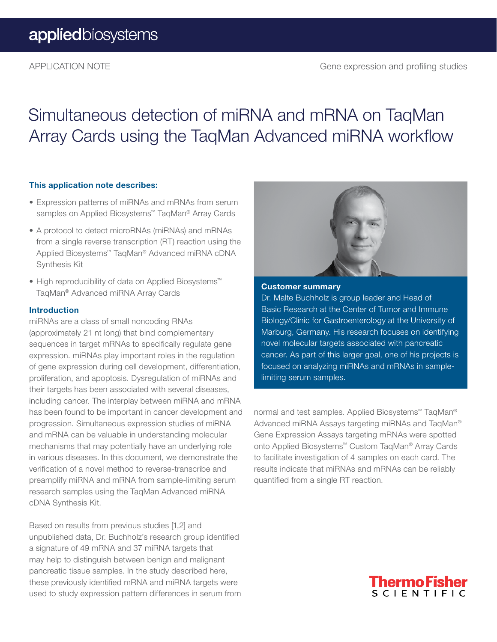## Simultaneous detection of miRNA and mRNA on TaqMan Array Cards using the TaqMan Advanced miRNA workflow

#### This application note describes:

- Expression patterns of miRNAs and mRNAs from serum samples on Applied Biosystems<sup>™</sup> TaqMan<sup>®</sup> Array Cards
- A protocol to detect microRNAs (miRNAs) and mRNAs from a single reverse transcription (RT) reaction using the Applied Biosystems™ TaqMan® Advanced miRNA cDNA Synthesis Kit
- High reproducibility of data on Applied Biosystems™ TaqMan® Advanced miRNA Array Cards

#### Introduction

miRNAs are a class of small noncoding RNAs (approximately 21 nt long) that bind complementary sequences in target mRNAs to specifically regulate gene expression. miRNAs play important roles in the regulation of gene expression during cell development, differentiation, proliferation, and apoptosis. Dysregulation of miRNAs and their targets has been associated with several diseases, including cancer. The interplay between miRNA and mRNA has been found to be important in cancer development and progression. Simultaneous expression studies of miRNA and mRNA can be valuable in understanding molecular mechanisms that may potentially have an underlying role in various diseases. In this document, we demonstrate the verification of a novel method to reverse-transcribe and preamplify miRNA and mRNA from sample-limiting serum research samples using the TaqMan Advanced miRNA cDNA Synthesis Kit.

Based on results from previous studies [1,2] and unpublished data, Dr. Buchholz's research group identified a signature of 49 mRNA and 37 miRNA targets that may help to distinguish between benign and malignant pancreatic tissue samples. In the study described here, these previously identified mRNA and miRNA targets were used to study expression pattern differences in serum from



#### Customer summary

Dr. Malte Buchholz is group leader and Head of Basic Research at the Center of Tumor and Immune Biology/Clinic for Gastroenterology at the University of Marburg, Germany. His research focuses on identifying novel molecular targets associated with pancreatic cancer. As part of this larger goal, one of his projects is focused on analyzing miRNAs and mRNAs in samplelimiting serum samples.

normal and test samples. Applied Biosystems™ TaqMan® Advanced miRNA Assays targeting miRNAs and TaqMan® Gene Expression Assays targeting mRNAs were spotted onto Applied Biosystems™ Custom TaqMan® Array Cards to facilitate investigation of 4 samples on each card. The results indicate that miRNAs and mRNAs can be reliably quantified from a single RT reaction.

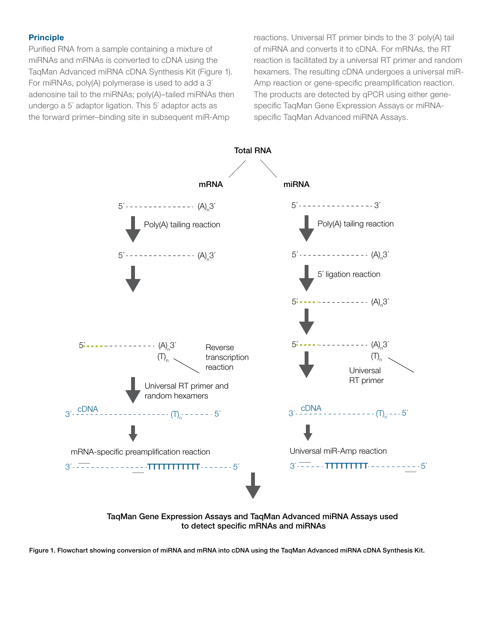#### Principle

Purified RNA from a sample containing a mixture of miRNAs and mRNAs is converted to cDNA using the TaqMan Advanced miRNA cDNA Synthesis Kit (Figure 1). For miRNAs, poly(A) polymerase is used to add a 3´ adenosine tail to the miRNAs; poly(A)–tailed miRNAs then undergo a 5´ adaptor ligation. This 5´ adaptor acts as the forward primer–binding site in subsequent miR-Amp

reactions. Universal RT primer binds to the 3´ poly(A) tail of miRNA and converts it to cDNA. For mRNAs, the RT reaction is facilitated by a universal RT primer and random hexamers. The resulting cDNA undergoes a universal miR-Amp reaction or gene-specific preamplification reaction. The products are detected by qPCR using either genespecific TaqMan Gene Expression Assays or miRNAspecific TaqMan Advanced miRNA Assays.





Figure 1. Flowchart showing conversion of miRNA and mRNA into cDNA using the TaqMan Advanced miRNA cDNA Synthesis Kit.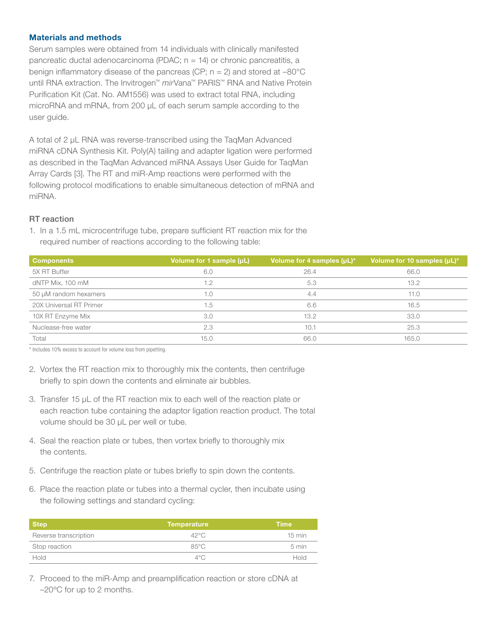#### Materials and methods

Serum samples were obtained from 14 individuals with clinically manifested pancreatic ductal adenocarcinoma (PDAC; n = 14) or chronic pancreatitis, a benign inflammatory disease of the pancreas (CP;  $n = 2$ ) and stored at  $-80^{\circ}$ C until RNA extraction. The Invitrogen™ *mir*Vana™ PARIS™ RNA and Native Protein Purification Kit (Cat. No. AM1556) was used to extract total RNA, including microRNA and mRNA, from 200 µL of each serum sample according to the user guide.

A total of 2 µL RNA was reverse-transcribed using the TaqMan Advanced miRNA cDNA Synthesis Kit. Poly(A) tailing and adapter ligation were performed as described in the TaqMan Advanced miRNA Assays User Guide for TaqMan Array Cards [3]. The RT and miR-Amp reactions were performed with the following protocol modifications to enable simultaneous detection of mRNA and miRNA.

#### RT reaction

1. In a 1.5 mL microcentrifuge tube, prepare sufficient RT reaction mix for the required number of reactions according to the following table:

| <b>Components</b>       | Volume for 1 sample (µL), | Volume for 4 samples (µL)* | Volume for 10 samples (µL)*, |
|-------------------------|---------------------------|----------------------------|------------------------------|
| 5X RT Buffer            | 6.0                       | 26.4                       | 66.0                         |
| dNTP Mix, 100 mM        | 1.2                       | 5.3                        | 13.2                         |
| 50 µM random hexamers   | 1.0                       | 4.4                        | 11.0                         |
| 20X Universal RT Primer | 1.5                       | 6.6                        | 16.5                         |
| 10X RT Enzyme Mix       | 3.0                       | 13.2                       | 33.0                         |
| Nuclease-free water     | 2.3                       | 10.1                       | 25.3                         |
| Total                   | 15.0                      | 66.0                       | 165.0                        |

\* Includes 10% excess to account for volume loss from pipetting.

- 2. Vortex the RT reaction mix to thoroughly mix the contents, then centrifuge briefly to spin down the contents and eliminate air bubbles.
- 3. Transfer 15 µL of the RT reaction mix to each well of the reaction plate or each reaction tube containing the adaptor ligation reaction product. The total volume should be 30 µL per well or tube.
- 4. Seal the reaction plate or tubes, then vortex briefly to thoroughly mix the contents.
- 5. Centrifuge the reaction plate or tubes briefly to spin down the contents.
- 6. Place the reaction plate or tubes into a thermal cycler, then incubate using the following settings and standard cycling:

| <b>Step</b>           | <b>Temperature</b> | <b>Time</b>      |
|-----------------------|--------------------|------------------|
| Reverse transcription | $42^{\circ}$ C     | $15 \text{ min}$ |
| Stop reaction         | 85°C               | 5 min            |
| Hold                  | $4^{\circ}$ C      | Hold             |

7. Proceed to the miR-Amp and preamplification reaction or store cDNA at –20ºC for up to 2 months.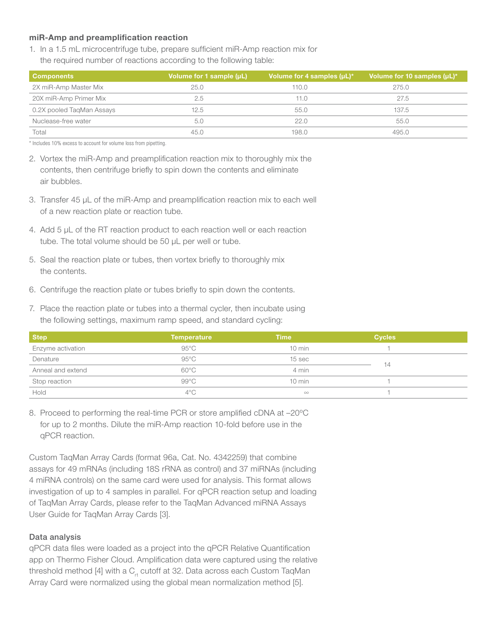#### miR-Amp and preamplification reaction

1. In a 1.5 mL microcentrifuge tube, prepare sufficient miR-Amp reaction mix for the required number of reactions according to the following table:

| <b>Components</b>         | Volume for 1 sample (µL) | Volume for 4 samples $(\mu L)^*$ | Volume for 10 samples $(\mu L)^*$ |
|---------------------------|--------------------------|----------------------------------|-----------------------------------|
| 2X miR-Amp Master Mix     | 25.0                     | 110.0                            | 275.0                             |
| 20X miR-Amp Primer Mix    | 2.5                      | 11.0                             | 27.5                              |
| 0.2X pooled TaqMan Assays | 12.5                     | 55.0                             | 137.5                             |
| Nuclease-free water       | 5.0                      | 22.0                             | 55.0                              |
| Total                     | 45.0                     | 198.0                            | 495.0                             |

\* Includes 10% excess to account for volume loss from pipetting.

- 2. Vortex the miR-Amp and preamplification reaction mix to thoroughly mix the contents, then centrifuge briefly to spin down the contents and eliminate air bubbles.
- 3. Transfer 45 µL of the miR-Amp and preamplification reaction mix to each well of a new reaction plate or reaction tube.
- 4. Add 5 µL of the RT reaction product to each reaction well or each reaction tube. The total volume should be 50 µL per well or tube.
- 5. Seal the reaction plate or tubes, then vortex briefly to thoroughly mix the contents.
- 6. Centrifuge the reaction plate or tubes briefly to spin down the contents.
- 7. Place the reaction plate or tubes into a thermal cycler, then incubate using the following settings, maximum ramp speed, and standard cycling:

| <b>Step</b>       | <b>Temperature</b> | <b>Time</b>      | <b>Cycles</b> |  |
|-------------------|--------------------|------------------|---------------|--|
| Enzyme activation | 95°C               | $10 \text{ min}$ |               |  |
| Denature          | $95^{\circ}$ C     | 15 sec           | 14            |  |
| Anneal and extend | 60°C               | 4 min            |               |  |
| Stop reaction     | 99°C               | $10 \text{ min}$ |               |  |
| Hold              | $4^{\circ}$ C      | $\infty$         |               |  |

8. Proceed to performing the real-time PCR or store amplified cDNA at –20ºC for up to 2 months. Dilute the miR-Amp reaction 10-fold before use in the qPCR reaction.

Custom TaqMan Array Cards (format 96a, Cat. No. 4342259) that combine assays for 49 mRNAs (including 18S rRNA as control) and 37 miRNAs (including 4 miRNA controls) on the same card were used for analysis. This format allows investigation of up to 4 samples in parallel. For qPCR reaction setup and loading of TaqMan Array Cards, please refer to the TaqMan Advanced miRNA Assays User Guide for TaqMan Array Cards [3].

#### Data analysis

qPCR data files were loaded as a project into the qPCR Relative Quantification app on Thermo Fisher Cloud. Amplification data were captured using the relative threshold method [4] with a  $C<sub>r</sub>$  cutoff at 32. Data across each Custom TaqMan Array Card were normalized using the global mean normalization method [5].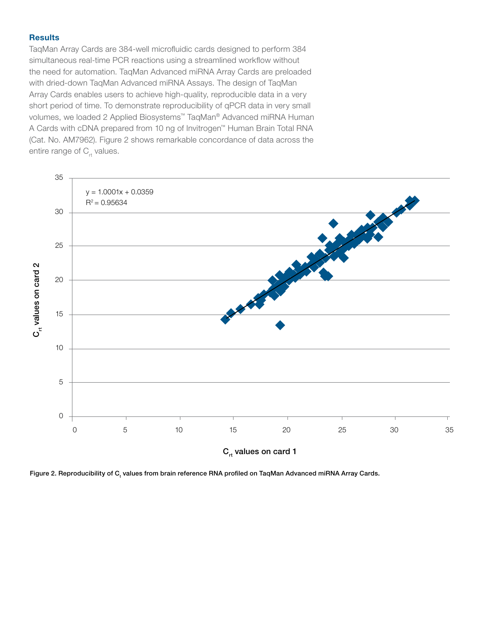#### **Results**

TaqMan Array Cards are 384-well microfluidic cards designed to perform 384 simultaneous real-time PCR reactions using a streamlined workflow without the need for automation. TaqMan Advanced miRNA Array Cards are preloaded with dried-down TaqMan Advanced miRNA Assays. The design of TaqMan Array Cards enables users to achieve high-quality, reproducible data in a very short period of time. To demonstrate reproducibility of qPCR data in very small volumes, we loaded 2 Applied Biosystems™ TaqMan® Advanced miRNA Human A Cards with cDNA prepared from 10 ng of Invitrogen™ Human Brain Total RNA (Cat. No. AM7962). Figure 2 shows remarkable concordance of data across the entire range of  $C_{rt}$  values.



Figure 2. Reproducibility of  $\mathtt{C_{t}}$  values from brain reference RNA profiled on TaqMan Advanced miRNA Array Cards.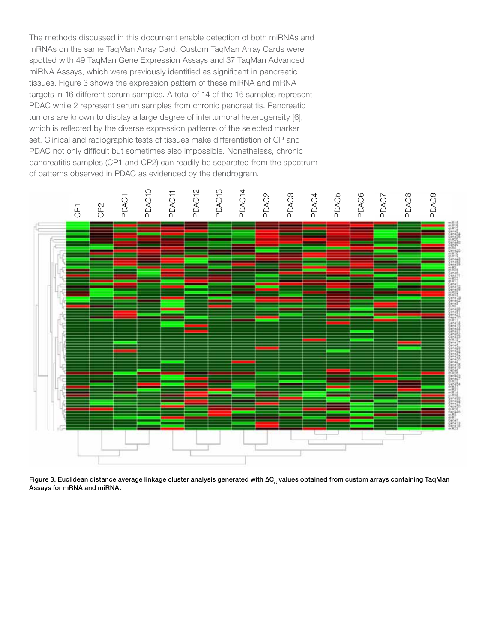The methods discussed in this document enable detection of both miRNAs and mRNAs on the same TaqMan Array Card. Custom TaqMan Array Cards were spotted with 49 TaqMan Gene Expression Assays and 37 TaqMan Advanced miRNA Assays, which were previously identified as significant in pancreatic tissues. Figure 3 shows the expression pattern of these miRNA and mRNA targets in 16 different serum samples. A total of 14 of the 16 samples represent PDAC while 2 represent serum samples from chronic pancreatitis. Pancreatic tumors are known to display a large degree of intertumoral heterogeneity [6], which is reflected by the diverse expression patterns of the selected marker set. Clinical and radiographic tests of tissues make differentiation of CP and PDAC not only difficult but sometimes also impossible. Nonetheless, chronic pancreatitis samples (CP1 and CP2) can readily be separated from the spectrum of patterns observed in PDAC as evidenced by the dendrogram.



Figure 3. Euclidean distance average linkage cluster analysis generated with  $\Delta C_{rt}$  values obtained from custom arrays containing TaqMan Assays for mRNA and miRNA.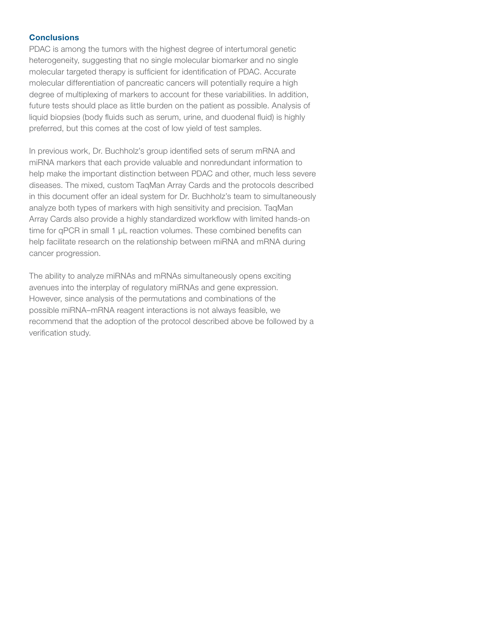#### **Conclusions**

PDAC is among the tumors with the highest degree of intertumoral genetic heterogeneity, suggesting that no single molecular biomarker and no single molecular targeted therapy is sufficient for identification of PDAC. Accurate molecular differentiation of pancreatic cancers will potentially require a high degree of multiplexing of markers to account for these variabilities. In addition, future tests should place as little burden on the patient as possible. Analysis of liquid biopsies (body fluids such as serum, urine, and duodenal fluid) is highly preferred, but this comes at the cost of low yield of test samples.

In previous work, Dr. Buchholz's group identified sets of serum mRNA and miRNA markers that each provide valuable and nonredundant information to help make the important distinction between PDAC and other, much less severe diseases. The mixed, custom TaqMan Array Cards and the protocols described in this document offer an ideal system for Dr. Buchholz's team to simultaneously analyze both types of markers with high sensitivity and precision. TaqMan Array Cards also provide a highly standardized workflow with limited hands-on time for qPCR in small 1 µL reaction volumes. These combined benefits can help facilitate research on the relationship between miRNA and mRNA during cancer progression.

The ability to analyze miRNAs and mRNAs simultaneously opens exciting avenues into the interplay of regulatory miRNAs and gene expression. However, since analysis of the permutations and combinations of the possible miRNA–mRNA reagent interactions is not always feasible, we recommend that the adoption of the protocol described above be followed by a verification study.